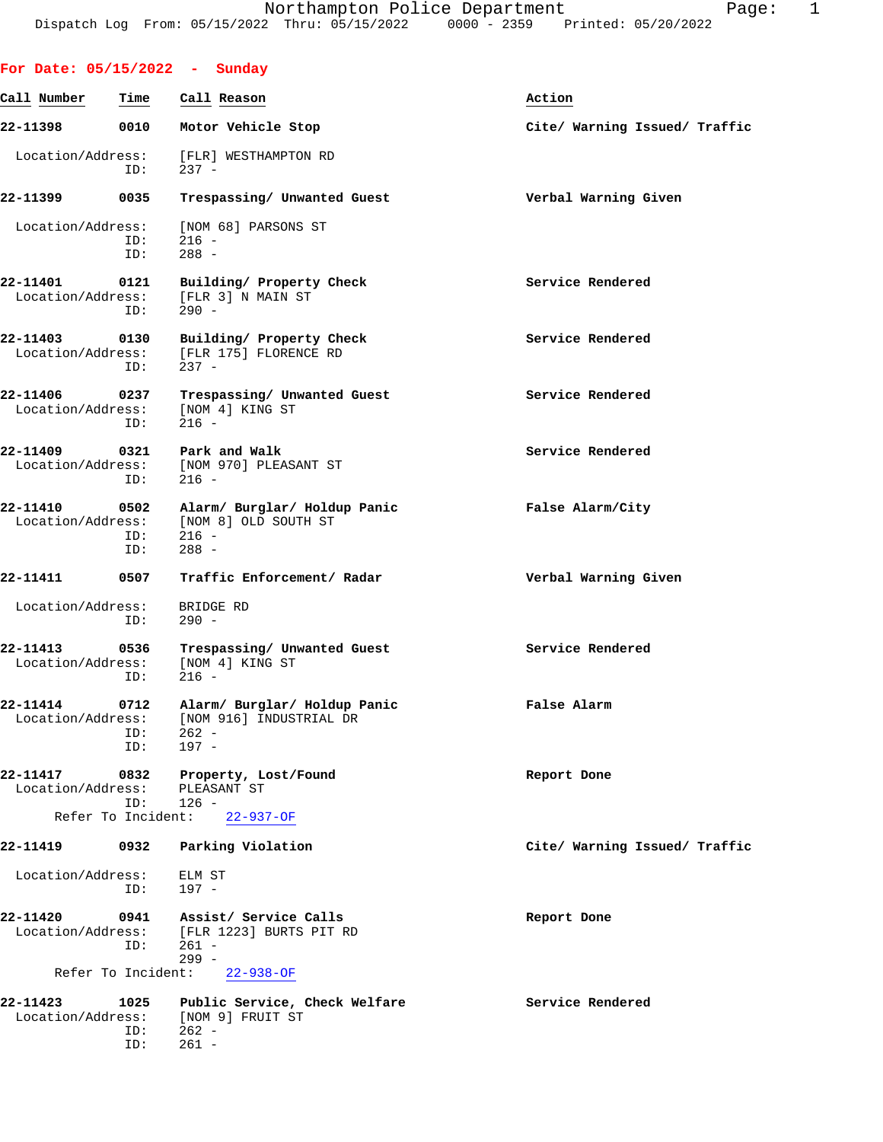**For Date: 05/15/2022 - Sunday**

ID: 261 -

| Call Number                        | Time               | Call Reason                                                                   | Action                        |
|------------------------------------|--------------------|-------------------------------------------------------------------------------|-------------------------------|
| 22-11398                           | 0010               | Motor Vehicle Stop                                                            | Cite/ Warning Issued/ Traffic |
| Location/Address:                  | ID:                | [FLR] WESTHAMPTON RD<br>$237 -$                                               |                               |
| 22-11399                           | 0035               | Trespassing/ Unwanted Guest                                                   | Verbal Warning Given          |
| Location/Address:                  | ID:<br>ID:         | [NOM 68] PARSONS ST<br>$216 -$<br>$288 -$                                     |                               |
| 22-11401<br>Location/Address:      | 0121<br>ID:        | Building/ Property Check<br>[FLR 3] N MAIN ST<br>$290 -$                      | Service Rendered              |
| 22-11403<br>Location/Address:      | 0130<br>ID:        | Building/ Property Check<br>[FLR 175] FLORENCE RD<br>$237 -$                  | Service Rendered              |
| 22-11406 0237<br>Location/Address: | ID:                | Trespassing/ Unwanted Guest<br>[NOM 4] KING ST<br>216 -                       | Service Rendered              |
| 22-11409<br>Location/Address:      | 0321<br>ID:        | Park and Walk<br>[NOM 970] PLEASANT ST<br>$216 -$                             | Service Rendered              |
| 22-11410<br>Location/Address:      | 0502<br>ID:<br>ID: | Alarm/ Burglar/ Holdup Panic<br>[NOM 8] OLD SOUTH ST<br>216 -<br>$288 -$      | False Alarm/City              |
| 22-11411                           | 0507               | Traffic Enforcement/ Radar                                                    | Verbal Warning Given          |
| Location/Address:                  | ID:                | BRIDGE RD<br>$290 -$                                                          |                               |
| 22-11413<br>Location/Address:      | 0536<br>ID:        | Trespassing/ Unwanted Guest<br>[NOM 4] KING ST<br>$216 -$                     | Service Rendered              |
| 22-11414<br>Location/Address:      | 0712<br>ID:<br>ID: | Alarm/ Burglar/ Holdup Panic<br>[NOM 916] INDUSTRIAL DR<br>$262 -$<br>$197 -$ | False Alarm                   |
| 22-11417<br>Location/Address:      | 0832<br>ID:        | Property, Lost/Found<br>PLEASANT ST<br>$126 -$                                | Report Done                   |
|                                    | Refer To Incident: | $22 - 937 - OF$                                                               |                               |
| 22-11419                           | 0932               | Parking Violation                                                             | Cite/ Warning Issued/ Traffic |
| Location/Address:                  | ID:                | ELM ST<br>$197 -$                                                             |                               |
| 22-11420<br>Location/Address:      | 0941<br>ID:        | Assist/ Service Calls<br>[FLR 1223] BURTS PIT RD<br>$261 -$<br>$299 -$        | Report Done                   |
|                                    | Refer To Incident: | $22 - 938 - OF$                                                               |                               |
| 22-11423<br>Location/Address:      | 1025<br>ID:        | Public Service, Check Welfare<br>[NOM 9] FRUIT ST<br>$262 -$                  | Service Rendered              |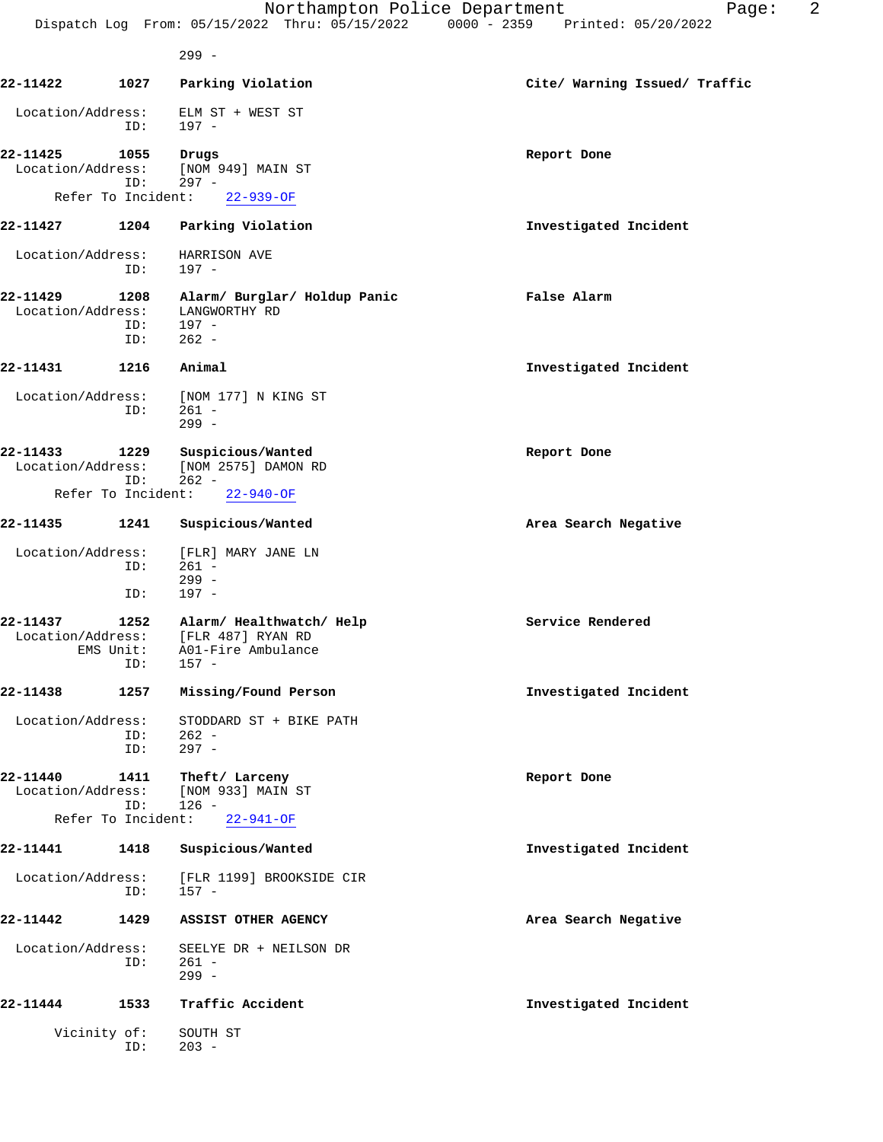|                               |                                   | Northampton Police Department<br>Dispatch Log From: 05/15/2022 Thru: 05/15/2022 0000 - 2359 Printed: 05/20/2022 | 2<br>Page:                    |
|-------------------------------|-----------------------------------|-----------------------------------------------------------------------------------------------------------------|-------------------------------|
|                               |                                   | $299 -$                                                                                                         |                               |
| 22-11422                      | 1027                              | Parking Violation                                                                                               | Cite/ Warning Issued/ Traffic |
| Location/Address:             | ID:                               | ELM ST + WEST ST<br>$197 -$                                                                                     |                               |
| 22-11425<br>Location/Address: | 1055<br>ID:                       | Drugs<br>[NOM 949] MAIN ST<br>$297 -$                                                                           | Report Done                   |
|                               | Refer To Incident:                | $22 - 939 - OF$                                                                                                 |                               |
| 22-11427                      | 1204                              | Parking Violation                                                                                               | Investigated Incident         |
| Location/Address:             | ID:                               | HARRISON AVE<br>$197 -$                                                                                         |                               |
| 22-11429<br>Location/Address: | 1208<br>ID:<br>ID:                | Alarm/ Burglar/ Holdup Panic<br>LANGWORTHY RD<br>$197 -$<br>$262 -$                                             | False Alarm                   |
| 22-11431                      | 1216                              | Animal                                                                                                          | Investigated Incident         |
| Location/Address:             | ID:                               | [NOM 177] N KING ST<br>$261 -$<br>$299 -$                                                                       |                               |
| 22-11433<br>Location/Address: | 1229<br>ID:<br>Refer To Incident: | Suspicious/Wanted<br>[NOM 2575] DAMON RD<br>$262 -$                                                             | Report Done                   |
| 22-11435                      | 1241                              | $22 - 940 - OF$<br>Suspicious/Wanted                                                                            | Area Search Negative          |
|                               |                                   |                                                                                                                 |                               |
| Location/Address:             | ID:<br>ID:                        | [FLR] MARY JANE LN<br>$261 -$<br>$299 -$<br>$197 -$                                                             |                               |
| 22-11437                      | 1252                              | Alarm/ Healthwatch/ Help                                                                                        | Service Rendered              |
| Location/Address:             | EMS Unit:<br>ID:                  | [FLR 487] RYAN RD<br>A01-Fire Ambulance<br>$157 -$                                                              |                               |
| 22-11438                      | 1257                              | Missing/Found Person                                                                                            | Investigated Incident         |
| Location/Address:             | ID:<br>ID:                        | STODDARD ST + BIKE PATH<br>$262 -$<br>$297 -$                                                                   |                               |
| 22-11440<br>Location/Address: | 1411<br>ID:                       | Theft/ Larceny<br>[NOM 933] MAIN ST<br>$126 -$                                                                  | Report Done                   |
|                               | Refer To Incident:                | $22 - 941 - OF$                                                                                                 |                               |
| 22-11441                      | 1418                              | Suspicious/Wanted                                                                                               | Investigated Incident         |
| Location/Address:             | ID:                               | [FLR 1199] BROOKSIDE CIR<br>$157 -$                                                                             |                               |
| 22-11442                      | 1429                              | ASSIST OTHER AGENCY                                                                                             | Area Search Negative          |
| Location/Address:             | ID:                               | SEELYE DR + NEILSON DR<br>$261 -$<br>$299 -$                                                                    |                               |
| 22-11444                      | 1533                              | Traffic Accident                                                                                                | Investigated Incident         |
| Vicinity of:                  | ID:                               | SOUTH ST<br>$203 -$                                                                                             |                               |
|                               |                                   |                                                                                                                 |                               |